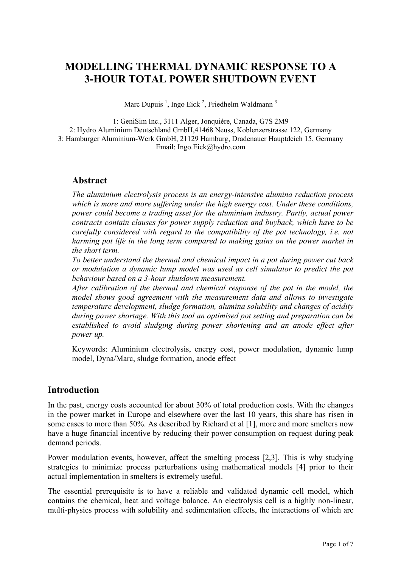# **MODELLING THERMAL DYNAMIC RESPONSE TO A 3-HOUR TOTAL POWER SHUTDOWN EVENT**

Marc Dupuis<sup>1</sup>, Ingo Eick<sup>2</sup>, Friedhelm Waldmann<sup>3</sup>

1: GeniSim Inc., 3111 Alger, Jonquière, Canada, G7S 2M9 2: Hydro Aluminium Deutschland GmbH,41468 Neuss, Koblenzerstrasse 122, Germany 3: Hamburger Aluminium-Werk GmbH, 21129 Hamburg, Dradenauer Hauptdeich 15, Germany Email: Ingo.Eick@hydro.com

#### **Abstract**

*The aluminium electrolysis process is an energy-intensive alumina reduction process which is more and more suffering under the high energy cost. Under these conditions, power could become a trading asset for the aluminium industry. Partly, actual power contracts contain clauses for power supply reduction and buyback, which have to be carefully considered with regard to the compatibility of the pot technology, i.e. not harming pot life in the long term compared to making gains on the power market in the short term.* 

*To better understand the thermal and chemical impact in a pot during power cut back or modulation a dynamic lump model was used as cell simulator to predict the pot behaviour based on a 3-hour shutdown measurement.* 

*After calibration of the thermal and chemical response of the pot in the model, the model shows good agreement with the measurement data and allows to investigate temperature development, sludge formation, alumina solubility and changes of acidity during power shortage. With this tool an optimised pot setting and preparation can be*  established to avoid sludging during power shortening and an anode effect after *power up.* 

Keywords: Aluminium electrolysis, energy cost, power modulation, dynamic lump model, Dyna/Marc, sludge formation, anode effect

#### **Introduction**

In the past, energy costs accounted for about 30% of total production costs. With the changes in the power market in Europe and elsewhere over the last 10 years, this share has risen in some cases to more than 50%. As described by Richard et al [1], more and more smelters now have a huge financial incentive by reducing their power consumption on request during peak demand periods.

Power modulation events, however, affect the smelting process [2,3]. This is why studying strategies to minimize process perturbations using mathematical models [4] prior to their actual implementation in smelters is extremely useful.

The essential prerequisite is to have a reliable and validated dynamic cell model, which contains the chemical, heat and voltage balance. An electrolysis cell is a highly non-linear, multi-physics process with solubility and sedimentation effects, the interactions of which are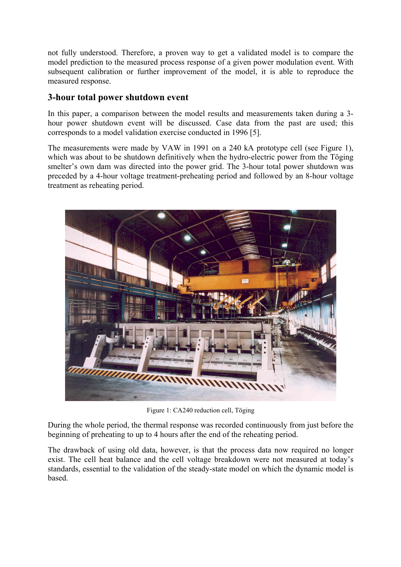not fully understood. Therefore, a proven way to get a validated model is to compare the model prediction to the measured process response of a given power modulation event. With subsequent calibration or further improvement of the model, it is able to reproduce the measured response.

#### **3-hour total power shutdown event**

In this paper, a comparison between the model results and measurements taken during a 3 hour power shutdown event will be discussed. Case data from the past are used; this corresponds to a model validation exercise conducted in 1996 [5].

The measurements were made by VAW in 1991 on a 240 kA prototype cell (see Figure 1), which was about to be shutdown definitively when the hydro-electric power from the Töging smelter's own dam was directed into the power grid. The 3-hour total power shutdown was preceded by a 4-hour voltage treatment-preheating period and followed by an 8-hour voltage treatment as reheating period.



Figure 1: CA240 reduction cell, Töging

During the whole period, the thermal response was recorded continuously from just before the beginning of preheating to up to 4 hours after the end of the reheating period.

The drawback of using old data, however, is that the process data now required no longer exist. The cell heat balance and the cell voltage breakdown were not measured at today's standards, essential to the validation of the steady-state model on which the dynamic model is based.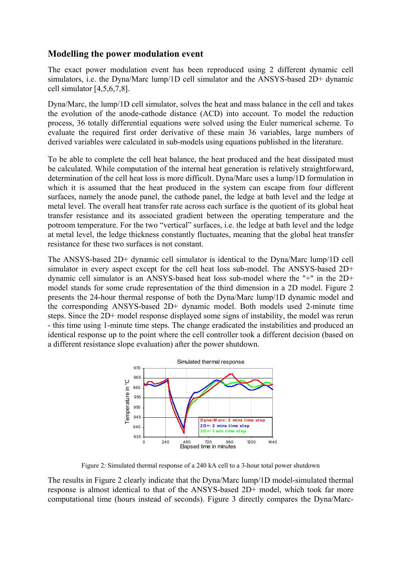#### **Modelling the power modulation event**

The exact power modulation event has been reproduced using 2 different dynamic cell simulators, i.e. the Dyna/Marc lump/1D cell simulator and the ANSYS-based 2D+ dynamic cell simulator [4,5,6,7,8].

Dyna/Marc, the lump/1D cell simulator, solves the heat and mass balance in the cell and takes the evolution of the anode-cathode distance (ACD) into account. To model the reduction process, 36 totally differential equations were solved using the Euler numerical scheme. To evaluate the required first order derivative of these main 36 variables, large numbers of derived variables were calculated in sub-models using equations published in the literature.

To be able to complete the cell heat balance, the heat produced and the heat dissipated must be calculated. While computation of the internal heat generation is relatively straightforward, determination of the cell heat loss is more difficult. Dyna/Marc uses a lump/1D formulation in which it is assumed that the heat produced in the system can escape from four different surfaces, namely the anode panel, the cathode panel, the ledge at bath level and the ledge at metal level. The overall heat transfer rate across each surface is the quotient of its global heat transfer resistance and its associated gradient between the operating temperature and the potroom temperature. For the two "vertical" surfaces, i.e. the ledge at bath level and the ledge at metal level, the ledge thickness constantly fluctuates, meaning that the global heat transfer resistance for these two surfaces is not constant.

The ANSYS-based 2D+ dynamic cell simulator is identical to the Dyna/Marc lump/1D cell simulator in every aspect except for the cell heat loss sub-model. The ANSYS-based 2D+ dynamic cell simulator is an ANSYS-based heat loss sub-model where the "+" in the 2D+ model stands for some crude representation of the third dimension in a 2D model. Figure 2 presents the 24-hour thermal response of both the Dyna/Marc lump/1D dynamic model and the corresponding ANSYS-based 2D+ dynamic model. Both models used 2-minute time steps. Since the 2D+ model response displayed some signs of instability, the model was rerun - this time using 1-minute time steps. The change eradicated the instabilities and produced an identical response up to the point where the cell controller took a different decision (based on a different resistance slope evaluation) after the power shutdown.



Figure 2: Simulated thermal response of a 240 kA cell to a 3-hour total power shutdown

The results in Figure 2 clearly indicate that the Dyna/Marc lump/1D model-simulated thermal response is almost identical to that of the ANSYS-based 2D+ model, which took far more computational time (hours instead of seconds). Figure 3 directly compares the Dyna/Marc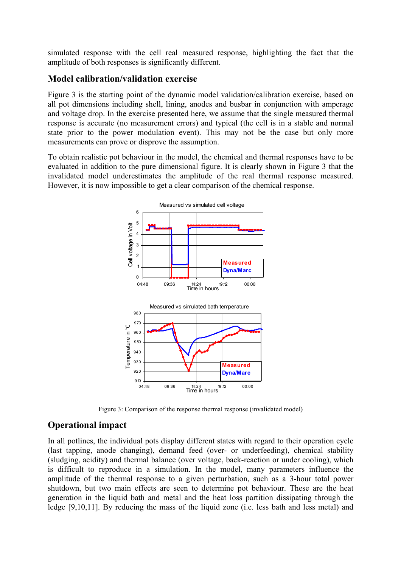simulated response with the cell real measured response, highlighting the fact that the amplitude of both responses is significantly different.

#### **Model calibration/validation exercise**

Figure 3 is the starting point of the dynamic model validation/calibration exercise, based on all pot dimensions including shell, lining, anodes and busbar in conjunction with amperage and voltage drop. In the exercise presented here, we assume that the single measured thermal response is accurate (no measurement errors) and typical (the cell is in a stable and normal state prior to the power modulation event). This may not be the case but only more measurements can prove or disprove the assumption.

To obtain realistic pot behaviour in the model, the chemical and thermal responses have to be evaluated in addition to the pure dimensional figure. It is clearly shown in Figure 3 that the invalidated model underestimates the amplitude of the real thermal response measured. However, it is now impossible to get a clear comparison of the chemical response.



Figure 3: Comparison of the response thermal response (invalidated model)

## **Operational impact**

In all potlines, the individual pots display different states with regard to their operation cycle (last tapping, anode changing), demand feed (over- or underfeeding), chemical stability (sludging, acidity) and thermal balance (over voltage, back-reaction or under cooling), which is difficult to reproduce in a simulation. In the model, many parameters influence the amplitude of the thermal response to a given perturbation, such as a 3-hour total power shutdown, but two main effects are seen to determine pot behaviour. These are the heat generation in the liquid bath and metal and the heat loss partition dissipating through the ledge [9,10,11]. By reducing the mass of the liquid zone (i.e. less bath and less metal) and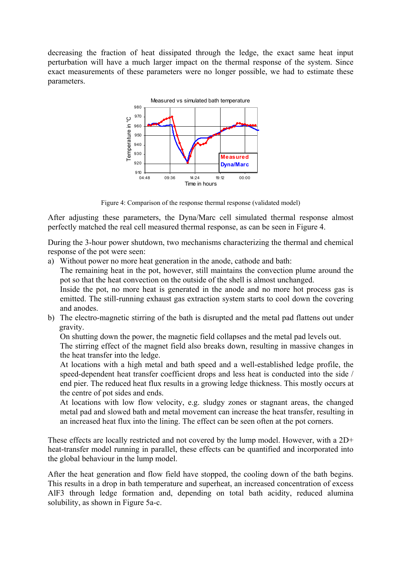decreasing the fraction of heat dissipated through the ledge, the exact same heat input perturbation will have a much larger impact on the thermal response of the system. Since exact measurements of these parameters were no longer possible, we had to estimate these parameters.



Figure 4: Comparison of the response thermal response (validated model)

After adjusting these parameters, the Dyna/Marc cell simulated thermal response almost perfectly matched the real cell measured thermal response, as can be seen in Figure 4.

During the 3-hour power shutdown, two mechanisms characterizing the thermal and chemical response of the pot were seen:

a) Without power no more heat generation in the anode, cathode and bath:

The remaining heat in the pot, however, still maintains the convection plume around the pot so that the heat convection on the outside of the shell is almost unchanged.

Inside the pot, no more heat is generated in the anode and no more hot process gas is emitted. The still-running exhaust gas extraction system starts to cool down the covering and anodes.

b) The electro-magnetic stirring of the bath is disrupted and the metal pad flattens out under gravity.

On shutting down the power, the magnetic field collapses and the metal pad levels out. The stirring effect of the magnet field also breaks down, resulting in massive changes in the heat transfer into the ledge.

At locations with a high metal and bath speed and a well-established ledge profile, the speed-dependent heat transfer coefficient drops and less heat is conducted into the side / end pier. The reduced heat flux results in a growing ledge thickness. This mostly occurs at the centre of pot sides and ends.

At locations with low flow velocity, e.g. sludgy zones or stagnant areas, the changed metal pad and slowed bath and metal movement can increase the heat transfer, resulting in an increased heat flux into the lining. The effect can be seen often at the pot corners.

These effects are locally restricted and not covered by the lump model. However, with a 2D+ heat-transfer model running in parallel, these effects can be quantified and incorporated into the global behaviour in the lump model.

After the heat generation and flow field have stopped, the cooling down of the bath begins. This results in a drop in bath temperature and superheat, an increased concentration of excess AlF3 through ledge formation and, depending on total bath acidity, reduced alumina solubility, as shown in Figure 5a-c.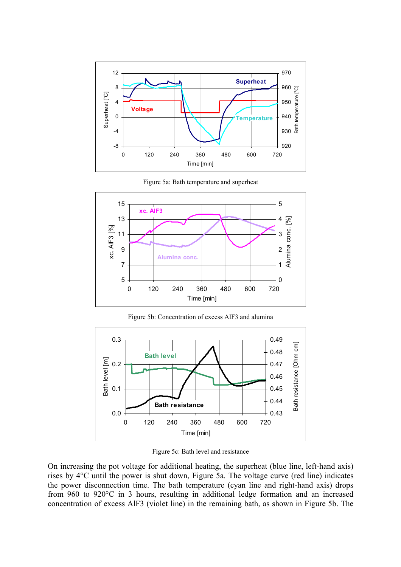

Figure 5a: Bath temperature and superheat



Figure 5b: Concentration of excess AlF3 and alumina



Figure 5c: Bath level and resistance

On increasing the pot voltage for additional heating, the superheat (blue line, left-hand axis) rises by 4°C until the power is shut down, Figure 5a. The voltage curve (red line) indicates the power disconnection time. The bath temperature (cyan line and right-hand axis) drops from 960 to 920°C in 3 hours, resulting in additional ledge formation and an increased concentration of excess AlF3 (violet line) in the remaining bath, as shown in Figure 5b. The